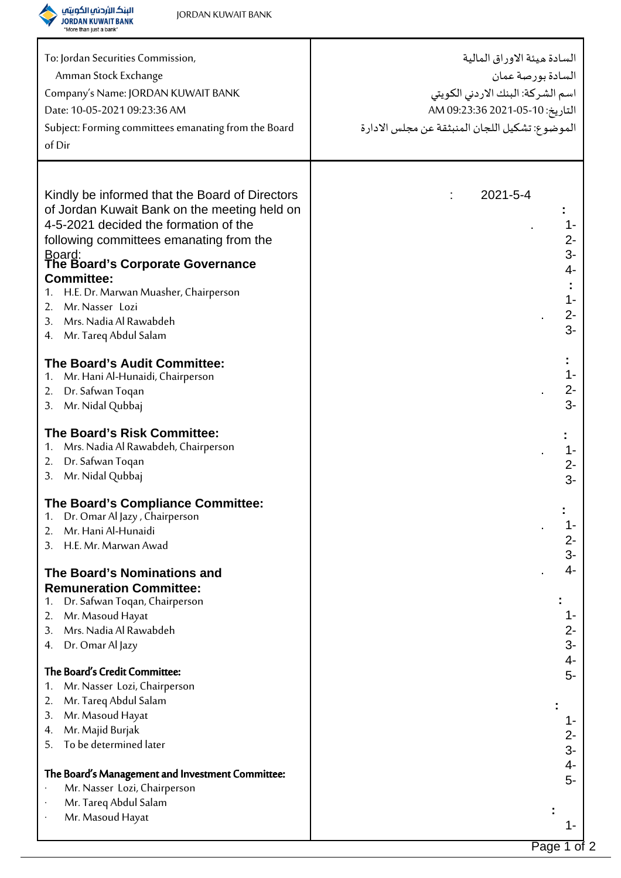

| To: Jordan Securities Commission,                                                | السادة ميئة الاوراق المالية                    |
|----------------------------------------------------------------------------------|------------------------------------------------|
| Amman Stock Exchange                                                             | السادة بورصة عمان                              |
| Company's Name: JORDAN KUWAIT BANK                                               | اسم الشركة: البنك الاردني الكويتي              |
| Date: 10-05-2021 09:23:36 AM                                                     | التاريخ: 10-05-2021 09:23:36 AM                |
| Subject: Forming committees emanating from the Board                             | الموضوع: تشكيل اللجان المنبثقة عن مجلس الادارة |
| of Dir                                                                           |                                                |
|                                                                                  |                                                |
|                                                                                  |                                                |
| Kindly be informed that the Board of Directors                                   | $2021 - 5 - 4$                                 |
| of Jordan Kuwait Bank on the meeting held on                                     |                                                |
| 4-5-2021 decided the formation of the                                            | $1 -$                                          |
| following committees emanating from the                                          | $2-$                                           |
| Board:<br>The Board's Corporate Governance                                       | $3-$                                           |
| <b>Committee:</b>                                                                | 4-                                             |
| H.E. Dr. Marwan Muasher, Chairperson<br>1.                                       |                                                |
| Mr. Nasser Lozi<br>2.                                                            | $1 -$                                          |
| Mrs. Nadia Al Rawabdeh<br>3.                                                     | $2 -$                                          |
| Mr. Tareq Abdul Salam<br>4.                                                      | $3-$                                           |
|                                                                                  |                                                |
| The Board's Audit Committee:                                                     | $1 -$                                          |
| Mr. Hani Al-Hunaidi, Chairperson<br>1.                                           |                                                |
| Dr. Safwan Toqan<br>2.                                                           | $2-$<br>$3-$                                   |
| Mr. Nidal Qubbaj<br>3.                                                           |                                                |
| The Board's Risk Committee:                                                      |                                                |
| Mrs. Nadia Al Rawabdeh, Chairperson<br>1.                                        | $1 -$                                          |
| Dr. Safwan Toqan<br>2.                                                           | $2-$                                           |
| Mr. Nidal Qubbaj<br>3.                                                           | $3-$                                           |
|                                                                                  |                                                |
| The Board's Compliance Committee:<br>Dr. Omar Al Jazy, Chairperson               |                                                |
| Mr. Hani Al-Hunaidi<br>2.                                                        | 1-                                             |
| H.E. Mr. Marwan Awad<br>3.                                                       | 2-                                             |
|                                                                                  | $3-$                                           |
| The Board's Nominations and                                                      | 4-                                             |
| <b>Remuneration Committee:</b>                                                   |                                                |
| Dr. Safwan Toqan, Chairperson<br>1.                                              |                                                |
| Mr. Masoud Hayat<br>2.<br>Mrs. Nadia Al Rawabdeh<br>3.                           | 1-<br>$2-$                                     |
| Dr. Omar Al Jazy<br>4.                                                           | $3-$                                           |
|                                                                                  | 4-                                             |
| The Board's Credit Committee:                                                    | $5-$                                           |
| Mr. Nasser Lozi, Chairperson<br>1.                                               |                                                |
| Mr. Tareq Abdul Salam<br>2.                                                      |                                                |
| Mr. Masoud Hayat<br>3.                                                           | 1-                                             |
| Mr. Majid Burjak<br>4.                                                           | $2-$                                           |
| To be determined later<br>5.                                                     | $3-$                                           |
|                                                                                  | $4-$                                           |
| The Board's Management and Investment Committee:<br>Mr. Nasser Lozi, Chairperson | 5-                                             |
| Mr. Tareq Abdul Salam                                                            |                                                |
| Mr. Masoud Hayat                                                                 |                                                |
|                                                                                  |                                                |
|                                                                                  |                                                |

Τ